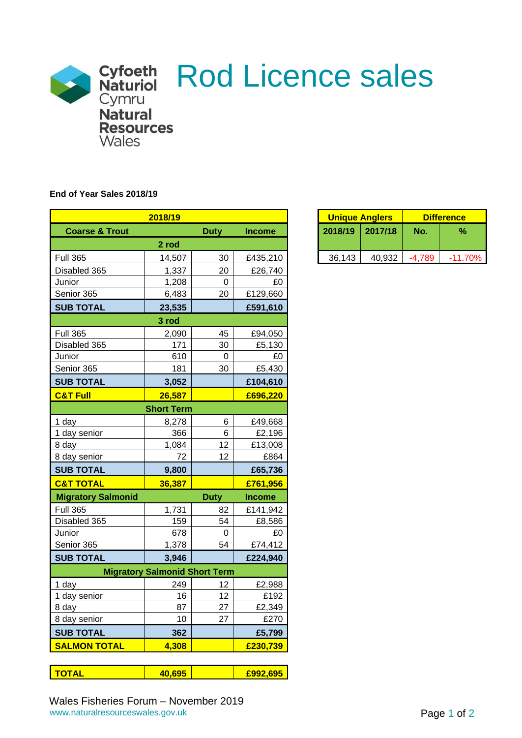

## **End of Year Sales 2018/19**

|                           | 2018/19                              |                  |               |
|---------------------------|--------------------------------------|------------------|---------------|
| <b>Coarse &amp; Trout</b> |                                      | <b>Duty</b>      | <b>Income</b> |
|                           | 2 rod                                |                  |               |
| <b>Full 365</b>           | 14,507                               | 30               | £435,210      |
| Disabled 365              | 1,337                                | 20               | £26,740       |
| Junior                    | 1,208                                | $\boldsymbol{0}$ | £0            |
| Senior 365                | 6,483                                | 20               | £129,660      |
| <b>SUB TOTAL</b>          | 23,535                               |                  | £591,610      |
|                           | 3 rod                                |                  |               |
| <b>Full 365</b>           | 2,090                                | 45               | £94,050       |
| Disabled 365              | 171                                  | 30               | £5,130        |
| Junior                    | 610                                  | $\pmb{0}$        | £0            |
| Senior 365                | 181                                  | 30               | £5,430        |
| <b>SUB TOTAL</b>          | 3,052                                |                  | £104,610      |
| <b>C&amp;T Full</b>       | 26,587                               |                  | £696,220      |
|                           | <b>Short Term</b>                    |                  |               |
| 1 day                     | 8,278                                | 6                | £49,668       |
| 1 day senior              | 366                                  | 6                | £2,196        |
| 8 day                     | 1,084                                | 12               | £13,008       |
| 8 day senior              | 72                                   | 12               | £864          |
| <b>SUB TOTAL</b>          | 9,800                                |                  | £65,736       |
| <b>C&amp;T TOTAL</b>      | 36,387                               |                  | £761,956      |
| <b>Migratory Salmonid</b> |                                      | <b>Duty</b>      | <b>Income</b> |
| <b>Full 365</b>           | 1,731                                | 82               | £141,942      |
| Disabled 365              | 159                                  | 54               | £8,586        |
| Junior                    | 678                                  | $\pmb{0}$        | £0            |
| Senior 365                | 1,378                                | 54               | £74,412       |
| <b>SUB TOTAL</b>          | 3,946                                |                  | £224,940      |
|                           | <b>Migratory Salmonid Short Term</b> |                  |               |
| 1 day                     | 249                                  | 12               | £2,988        |
| 1 day senior              | 16                                   | 12               | £192          |
| 8 day                     | 87                                   | 27               | £2,349        |
| 8 day senior              | 10                                   | 27               | £270          |
| <b>SUB TOTAL</b>          | 362                                  |                  | £5,799        |
| <b>SALMON TOTAL</b>       | 4,308                                |                  | £230,739      |

| $\overline{\phantom{a}}$ |  |
|--------------------------|--|
|                          |  |

| 2018/19 |      |               |         | <b>Unique Anglers</b> | <b>Difference</b> |           |  |
|---------|------|---------------|---------|-----------------------|-------------------|-----------|--|
|         | Duty | <b>Income</b> | 2018/19 | 2017/18               | No.               | $\%$      |  |
| 2 rod   |      |               |         |                       |                   |           |  |
| 14.507  | 30   | £435,210      | 36,143  | 40.932                | -4.789            | $-11.70%$ |  |